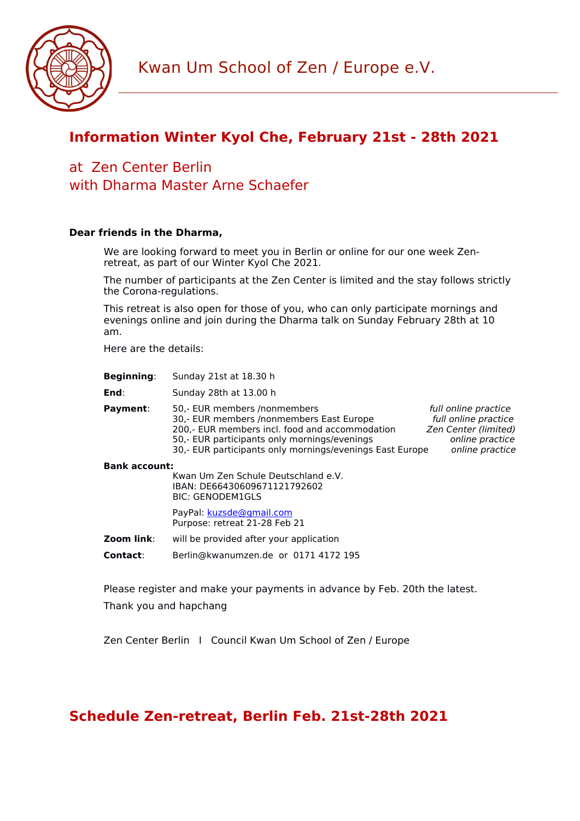

## **Information Winter Kyol Che, February 21st - 28th 2021**

## at Zen Center Berlin with Dharma Master Arne Schaefer

### **Dear friends in the Dharma,**

We are looking forward to meet you in Berlin or online for our one week Zenretreat, as part of our Winter Kyol Che 2021.

The number of participants at the Zen Center is limited and the stay follows strictly the Corona-regulations.

This retreat is also open for those of you, who can only participate mornings and evenings online and join during the Dharma talk on Sunday February 28th at 10 am.

Here are the details:

| <b>Beginning:</b> | Sunday 21st at 18.30 h |
|-------------------|------------------------|
|-------------------|------------------------|

**End**: Sunday 28th at 13.00 h

**Payment**: 50,- EUR members /nonmembers<br>30,- EUR members /nonmembers East Europe full online practice 30,- EUR members /nonmembers East Europe 200,- EUR members incl. food and accommodation Zen Center (limited) 50,- EUR participants only mornings/evenings and the practice online practice 30,- EUR participants only mornings/evenings East Europe online practice

#### **Bank account:**

Kwan Um Zen Schule Deutschland e.V. IBAN: DE66430609671121792602 BIC: GENODEM1GLS PayPal: [kuzsde@gmail.com](mailto:kuzsde@gmail.com) Purpose: retreat 21-28 Feb 21

**Zoom link:** will be provided after your application

**Contact**: Berlin@kwanumzen.de or 0171 4172 195

Please register and make your payments in advance by Feb. 20th the latest.

Thank you and hapchang

Zen Center Berlin I Council Kwan Um School of Zen / Europe

## **Schedule Zen-retreat, Berlin Feb. 21st-28th 2021**